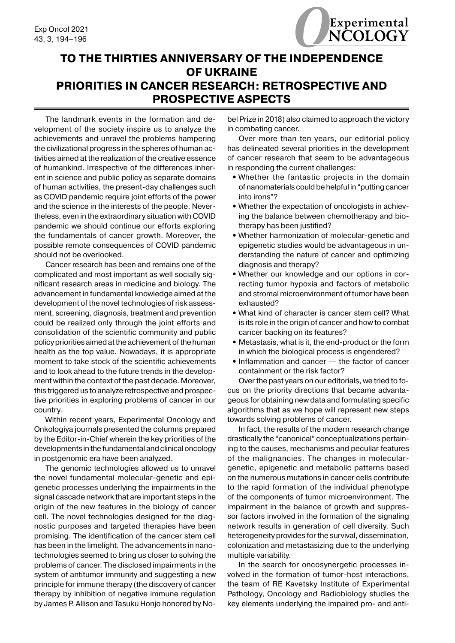## **TO THE THIRTIES ANNIVERSARY OF THE INDEPENDENCE OF UKRAINE PRIORITIES IN CANCER RESEARCH: RETROSPECTIVE AND PROSPECTIVE ASPECTS**

The landmark events in the formation and development of the society inspire us to analyze the achievements and unravel the problems hampering the civilizational progress in the spheres of human activities aimed at the realization of the creative essence of humankind. Irrespective of the differences inherent in science and public policy as separate domains of human activities, the present-day challenges such as COVID pandemic require joint efforts of the power and the science in the interests of the people. Nevertheless, even in the extraordinary situation with COVID pandemic we should continue our efforts exploring the fundamentals of cancer growth. Moreover, the possible remote consequences of COVID pandemic should not be overlooked.

Cancer research has been and remains one of the complicated and most important as well socially significant research areas in medicine and biology. The advancement in fundamental knowledge aimed at the development of the novel technologies of risk assessment, screening, diagnosis, treatment and prevention could be realized only through the joint efforts and consolidation of the scientific community and public policy priorities aimed at the achievement of the human health as the top value. Nowadays, it is appropriate moment to take stock of the scientific achievements and to look ahead to the future trends in the development within the context of the past decade. Moreover, this triggered us to analyze retrospective and prospective priorities in exploring problems of cancer in our country.

Within recent years, Experimental Oncology and Onkologiya journals presented the columns prepared by the Editor-in-Chief wherein the key priorities of the developments in the fundamental and clinical oncology in postgenomic era have been analyzed.

The genomic technologies allowed us to unravel the novel fundamental molecular-genetic and epigenetic processes underlying the impairments in the signal cascade network that are important steps in the origin of the new features in the biology of cancer cell. The novel technologies designed for the diagnostic purposes and targeted therapies have been promising. The identification of the cancer stem cell has been in the limelight. The advancements in nanotechnologies seemed to bring us closer to solving the problems of cancer. The disclosed impairments in the system of antitumor immunity and suggesting a new principle for immune therapy (the discovery of cancer therapy by inhibition of negative immune regulation by James P. Allison and Tasuku Honjo honored by Nobel Prize in 2018) also claimed to approach the victory in combating cancer.

Over more than ten years, our editorial policy has delineated several priorities in the development of cancer research that seem to be advantageous in responding the current challenges:

- Whether the fantastic projects in the domain of nanomaterials could be helpful in "putting cancer into irons"?
- **•** Whether the expectation of oncologists in achieving the balance between chemotherapy and biotherapy has been justified?
- **•** Whether harmonization of molecular-genetic and epigenetic studies would be advantageous in understanding the nature of cancer and optimizing diagnosis and therapy?
- **•** Whether our knowledge and our options in correcting tumor hypoxia and factors of metabolic and stromal microenvironment of tumor have been exhausted?
- **•** What kind of character is cancer stem cell? What is its role in the origin of cancer and how to combat cancer backing on its features?
- **•** Metastasis, what is it, the end-product or the form in which the biological process is engendered?
- Inflammation and cancer the factor of cancer containment or the risk factor?

Over the past years on our editorials, we tried to focus on the priority directions that became advantageous for obtaining new data and formulating specific algorithms that as we hope will represent new steps towards solving problems of cancer.

In fact, the results of the modern research change drastically the "canonical" conceptualizations pertaining to the causes, mechanisms and peculiar features of the malignancies. The changes in moleculargenetic, epigenetic and metabolic patterns based on the numerous mutations in cancer cells contribute to the rapid formation of the individual phenotype of the components of tumor microenvironment. The impairment in the balance of growth and suppressor factors involved in the formation of the signaling network results in generation of cell diversity. Such heterogeneity provides for the survival, dissemination, colonization and metastasizing due to the underlying multiple variability.

In the search for oncosynergetic processes involved in the formation of tumor-host interactions, the team of RE Kavetsky Institute of Experimental Pathology, Oncology and Radiobiology studies the key elements underlying the impaired pro- and anti-

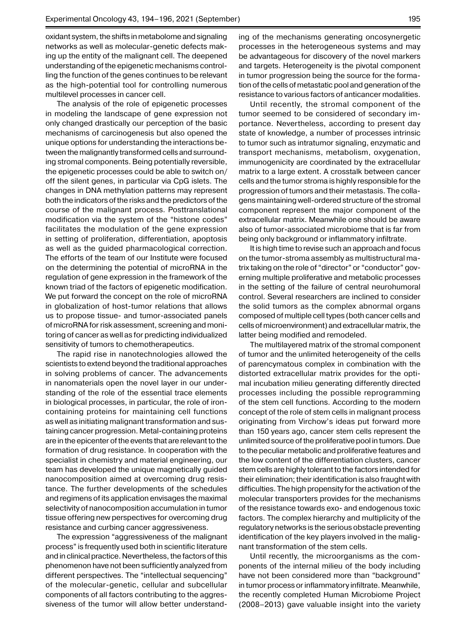oxidant system, the shifts in metabolome and signaling networks as well as molecular-genetic defects making up the entity of the malignant cell. The deepened understanding of the epigenetic mechanisms controlling the function of the genes continues to be relevant as the high-potential tool for controlling numerous multilevel processes in cancer cell.

The analysis of the role of epigenetic processes in modeling the landscape of gene expression not only changed drastically our perception of the basic mechanisms of carcinogenesis but also opened the unique options for understanding the interactions between the malignantly transformed cells and surrounding stromal components. Being potentially reversible, the epigenetic processes could be able to switch on/ off the silent genes, in particular via CpG islets. The changes in DNA methylation patterns may represent both the indicators of the risks and the predictors of the course of the malignant process. Posttranslational modification via the system of the "histone codes" facilitates the modulation of the gene expression in setting of proliferation, differentiation, apoptosis as well as the guided pharmacological correction. The efforts of the team of our Institute were focused on the determining the potential of microRNA in the regulation of gene expression in the framework of the known triad of the factors of epigenetic modification. We put forward the concept on the role of microRNA in globalization of host-tumor relations that allows us to propose tissue- and tumor-associated panels of microRNA for risk assessment, screening and monitoring of cancer as well as for predicting individualized sensitivity of tumors to chemotherapeutics.

The rapid rise in nanotechnologies allowed the scientists to extend beyond the traditional approaches in solving problems of cancer. The advancements in nanomaterials open the novel layer in our understanding of the role of the essential trace elements in biological processes, in particular, the role of ironcontaining proteins for maintaining cell functions as well as initiating malignant transformation and sustaining cancer progression. Metal-containing proteins are in the epicenter of the events that are relevant to the formation of drug resistance. In cooperation with the specialist in chemistry and material engineering, our team has developed the unique magnetically guided nanocomposition aimed at overcoming drug resistance. The further developments of the schedules and regimens of its application envisages the maximal selectivity of nanocomposition accumulation in tumor tissue offering new perspectives for overcoming drug resistance and curbing cancer aggressiveness.

The expression "aggressiveness of the malignant process" is frequently used both in scientific literature and in clinical practice. Nevertheless, the factors of this phenomenon have not been sufficiently analyzed from different perspectives. The "intellectual sequencing" of the molecular-genetic, cellular and subcellular components of all factors contributing to the aggressiveness of the tumor will allow better understand-

ing of the mechanisms generating oncosynergetic processes in the heterogeneous systems and may be advantageous for discovery of the novel markers and targets. Heterogeneity is the pivotal component in tumor progression being the source for the formation of the cells of metastatic pool and generation of the resistance to various factors of anticancer modalities.

Until recently, the stromal component of the tumor seemed to be considered of secondary importance. Nevertheless, according to present day state of knowledge, a number of processes intrinsic to tumor such as intratumor signaling, enzymatic and transport mechanisms, metabolism, oxygenation, immunogenicity are coordinated by the extracellular matrix to a large extent. A crosstalk between cancer cells and the tumor stroma is highly responsible for the progression of tumors and their metastasis. The collagens maintaining well-ordered structure of the stromal component represent the major component of the extracellular matrix. Meanwhile one should be aware also of tumor-associated microbiome that is far from being only background or inflammatory infiltrate.

It is high time to revise such an approach and focus on the tumor-stroma assembly as multistructural matrix taking on the role of "director" or "conductor" governing multiple proliferative and metabolic processes in the setting of the failure of central neurohumoral control. Several researchers are inclined to consider the solid tumors as the complex abnormal organs composed of multiple cell types (both cancer cells and cells of microenvironment) and extracellular matrix, the latter being modified and remodeled.

The multilayered matrix of the stromal component of tumor and the unlimited heterogeneity of the cells of parencymatous complex in combination with the distorted extracellular matrix provides for the optimal incubation milieu generating differently directed processes including the possible reprogramming of the stem cell functions. According to the modern concept of the role of stem cells in malignant process originating from Virchow's ideas put forward more than 150 years ago, cancer stem cells represent the unlimited source of the proliferative pool in tumors. Due to the peculiar metabolic and proliferative features and the low content of the differentiation clusters, cancer stem cells are highly tolerant to the factors intended for their elimination; their identification is also fraught with difficulties. The high propensity for the activation of the molecular transporters provides for the mechanisms of the resistance towards exo- and endogenous toxic factors. The complex hierarchy and multiplicity of the regulatory networks is the serious obstacle preventing identification of the key players involved in the malignant transformation of the stem cells.

Until recently, the microorganisms as the components of the internal milieu of the body including have not been considered more than "background" in tumor process or inflammatory infiltrate. Meanwhile, the recently completed Human Microbiome Project (2008–2013) gave valuable insight into the variety